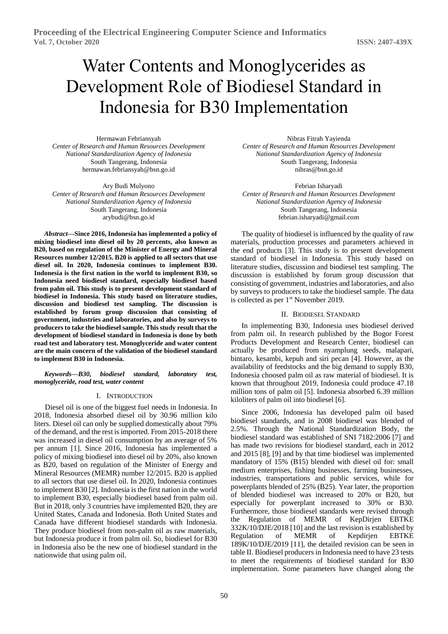# Water Contents and Monoglycerides as Development Role of Biodiesel Standard in Indonesia for B30 Implementation

Hermawan Febriansyah *Center of Research and Human Resources Development National Standardization Agency of Indonesia* South Tangerang, Indonesia [hermawan.febriansyah@bsn.go.id](mailto:hermawan.febriansyah@bsn.go.id)

Ary Budi Mulyono *Center of Research and Human Resources Development National Standardization Agency of Indonesia* South Tangerang, Indonesia arybudi@bsn.go.id

*Abstract***—Since 2016, Indonesia has implemented a policy of mixing biodiesel into diesel oil by 20 percents, also known as B20, based on regulation of the Minister of Energy and Mineral Resources number 12/2015. B20 is applied to all sectors that use diesel oil. In 2020, Indonesia continues to implement B30. Indonesia is the first nation in the world to implement B30, so Indonesia need biodiesel standard, especially biodiesel based from palm oil. This study is to present development standard of biodiesel in Indonesia. This study based on literature studies, discussion and biodiesel test sampling. The discussion is established by forum group discussion that consisting of government, industries and laboratories, and also by surveys to producers to take the biodiesel sample. This study result that the development of biodiesel standard in Indonesia is done by both road test and laboratory test. Monoglyceride and water content are the main concern of the validation of the biodiesel standard to implement B30 in Indonesia.**

*Keywords—B30, biodiesel standard, laboratory test, monoglyceride, road test, water content*

## I. INTRODUCTION

Diesel oil is one of the biggest fuel needs in Indonesia. In 2018, Indonesia absorbed diesel oil by 30.96 million kilo liters. Diesel oil can only be supplied domestically about 79% of the demand, and the rest is imported. From 2015-2018 there was increased in diesel oil consumption by an average of 5% per annum [1]. Since 2016, Indonesia has implemented a policy of mixing biodiesel into diesel oil by 20%, also known as B20, based on regulation of the Minister of Energy and Mineral Resources (MEMR) number 12/2015. B20 is applied to all sectors that use diesel oil. In 2020, Indonesia continues to implement B30 [2]. Indonesia is the first nation in the world to implement B30, especially biodiesel based from palm oil. But in 2018, only 3 countries have implemented B20, they are United States, Canada and Indonesia. Both United States and Canada have different biodiesel standards with Indonesia. They produce biodiesel from non-palm oil as raw materials, but Indonesia produce it from palm oil. So, biodiesel for B30 in Indonesia also be the new one of biodiesel standard in the nationwide that using palm oil.

Nibras Fitrah Yayienda *Center of Research and Human Resources Development National Standardization Agency of Indonesia* South Tangerang, Indonesia nibras@bsn.go.id

Febrian Isharyadi *Center of Research and Human Resources Development National Standardization Agency of Indonesia* South Tangerang, Indonesia febrian.isharyadi@gmail.com

The quality of biodiesel is influenced by the quality of raw materials, production processes and parameters achieved in the end products [3]. This study is to present development standard of biodiesel in Indonesia. This study based on literature studies, discussion and biodiesel test sampling. The discussion is established by forum group discussion that consisting of government, industries and laboratories, and also by surveys to producers to take the biodiesel sample. The data is collected as per 1<sup>st</sup> November 2019.

#### II. BIODIESEL STANDARD

In implementing B30, Indonesia uses biodiesel derived from palm oil. In research published by the Bogor Forest Products Development and Research Center, biodiesel can actually be produced from nyamplung seeds, malapari, bintaro, kesambi, kepuh and siri pecan [4]. However, as the availability of feedstocks and the big demand to supply B30, Indonesia choosed palm oil as raw material of biodiesel. It is known that throughout 2019, Indonesia could produce 47.18 million tons of palm oil [5]. Indonesia absorbed 6.39 million kiloliters of palm oil into biodiesel [6].

Since 2006, Indonesia has developed palm oil based biodiesel standards, and in 2008 biodiesel was blended of 2.5%. Through the National Standardization Body, the biodiesel standard was established of SNI 7182:2006 [7] and has made two revisions for biodiesel standard, each in 2012 and 2015 [8], [9] and by that time biodiesel was implemented mandatory of 15% (B15) blended with diesel oil for: small medium enterprises, fishing businesses, farming businesses, industries, transportations and public services, while for powerplants blended of 25% (B25). Year later, the proportion of blended biodiesel was increased to 20% or B20, but especially for powerplant increased to 30% or B30. Furthermore, those biodiesel standards were revised through the Regulation of MEMR of KepDirjen EBTKE 332K/10/DJE/2018 [10] and the last revision is established by Regulation of MEMR of Kepdirjen EBTKE 189K/10/DJE/2019 [11], the detailed revision can be seen in table II. Biodiesel producers in Indonesia need to have 23 tests to meet the requirements of biodiesel standard for B30 implementation. Some parameters have changed along the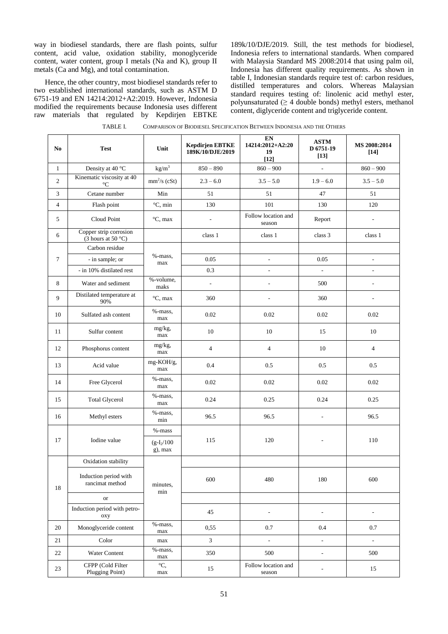way in biodiesel standards, there are flash points, sulfur content, acid value, oxidation stability, monoglyceride content, water content, group I metals (Na and K), group II metals (Ca and Mg), and total contamination.

Hence, the other country, most biodiesel standards refer to two established international standards, such as ASTM D 6751-19 and EN 14214:2012+A2:2019. However, Indonesia modified the requirements because Indonesia uses different raw materials that regulated by Kepdirjen EBTKE

189k/10/DJE/2019. Still, the test methods for biodiesel, Indonesia refers to international standards. When compared with Malaysia Standard MS 2008:2014 that using palm oil, Indonesia has different quality requirements. As shown in table I, Indonesian standards require test of: carbon residues, distilled temperatures and colors. Whereas Malaysian standard requires testing of: linolenic acid methyl ester, polyunsaturated  $(≥ 4$  double bonds) methyl esters, methanol content, diglyceride content and triglyceride content.

| N <sub>0</sub> | <b>Test</b>                                       | Unit                        | <b>Kepdirjen EBTKE</b><br>189K/10/DJE/2019 | EN<br>14214:2012+A2:20<br>19<br>$[12]$ | <b>ASTM</b><br>D 6751-19<br>$[13]$ | MS 2008:2014<br>$[14]$   |
|----------------|---------------------------------------------------|-----------------------------|--------------------------------------------|----------------------------------------|------------------------------------|--------------------------|
| $\mathbf{1}$   | Density at 40 °C                                  | $\text{kg}/\text{m}^3$      | $850 - 890$                                | $860 - 900$                            | ÷,                                 | $860 - 900$              |
| $\overline{c}$ | Kinematic viscosity at 40<br>$^{\circ}\mathrm{C}$ | $mm2/s$ (cSt)               | $2.3 - 6.0$                                | $3.5 - 5.0$                            | $1.9 - 6.0$                        | $3.5 - 5.0$              |
| 3              | Cetane number                                     | Min                         | 51                                         | 51                                     | 47                                 | 51                       |
| $\overline{4}$ | Flash point                                       | $\mathrm{^{\circ}C}$ , min  | 130                                        | 101                                    | 130                                | 120                      |
| 5              | Cloud Point                                       | $\mathrm{C}$ , max          | $\overline{a}$                             | Follow location and<br>season          | Report                             | $\sim$                   |
| 6              | Copper strip corrosion<br>(3 hours at 50 $°C$ )   |                             | class 1                                    | class 1                                | class 3                            | class 1                  |
|                | Carbon residue                                    |                             |                                            |                                        |                                    |                          |
| 7              | - in sample; or                                   | %-mass,<br>max              | 0.05                                       | ÷,                                     | 0.05                               | $\overline{\phantom{a}}$ |
|                | - in 10% distilated rest                          |                             | 0.3                                        | $\overline{\phantom{a}}$               | $\overline{\phantom{a}}$           | $\sim$                   |
| 8              | Water and sediment                                | %-volume,<br>maks           | $\overline{\phantom{a}}$                   | ÷,                                     | 500                                | $\overline{\phantom{a}}$ |
| 9              | Distilated temperature at<br>90%                  | $\mathrm{C}$ , max          | 360                                        | L,                                     | 360                                | ÷,                       |
| 10             | Sulfated ash content                              | %-mass,<br>max              | 0.02                                       | 0.02                                   | 0.02                               | 0.02                     |
| 11             | Sulfur content                                    | mg/kg,<br>max               | 10                                         | 10                                     | 15                                 | 10                       |
| 12             | Phosphorus content                                | mg/kg,<br>max               | $\overline{4}$                             | $\overline{4}$                         | 10                                 | $\overline{4}$           |
| 13             | Acid value                                        | mg-KOH/g,<br>max            | 0.4                                        | 0.5                                    | 0.5                                | 0.5                      |
| 14             | Free Glycerol                                     | %-mass,<br>max              | 0.02                                       | 0.02                                   | 0.02                               | 0.02                     |
| 15             | <b>Total Glycerol</b>                             | %-mass,<br>max              | 0.24                                       | 0.25                                   | 0.24                               | 0.25                     |
| 16             | Methyl esters                                     | %-mass,<br>min              | 96.5                                       | 96.5                                   | L,                                 | 96.5                     |
|                | Iodine value                                      | %-mass                      |                                            |                                        |                                    |                          |
| 17             |                                                   | $(g-I_2/100)$<br>$g$ ), max | 115                                        | 120                                    |                                    | 110                      |
|                | Oxidation stability                               |                             |                                            |                                        |                                    |                          |
| 18             | Induction period with<br>rancimat method          | minutes,<br>min             | 600                                        | 480                                    | 180                                | 600                      |
|                | <b>or</b>                                         |                             |                                            |                                        |                                    |                          |
|                | Induction period with petro-<br>oxy               |                             | $45\,$                                     | $\overline{\phantom{a}}$               | $\overline{\phantom{a}}$           | $\overline{\phantom{a}}$ |
| 20             | Monoglyceride content                             | %-mass,<br>max              | 0,55                                       | 0.7                                    | 0.4                                | 0.7                      |
| 21             | Color                                             | max                         | 3                                          | ÷,                                     | $\overline{\phantom{a}}$           | $\Box$                   |
| 22             | Water Content                                     | %-mass,<br>max              | 350                                        | 500                                    | $\overline{\phantom{a}}$           | 500                      |
| 23             | CFPP (Cold Filter<br>Plugging Point)              | $\rm{^{\circ}C}$ .<br>max   | 15                                         | Follow location and<br>season          | $\overline{a}$                     | 15                       |

TABLE I. COMPARISON OF BIODIESEL SPECIFICATION BETWEEN INDONESIA AND THE OTHERS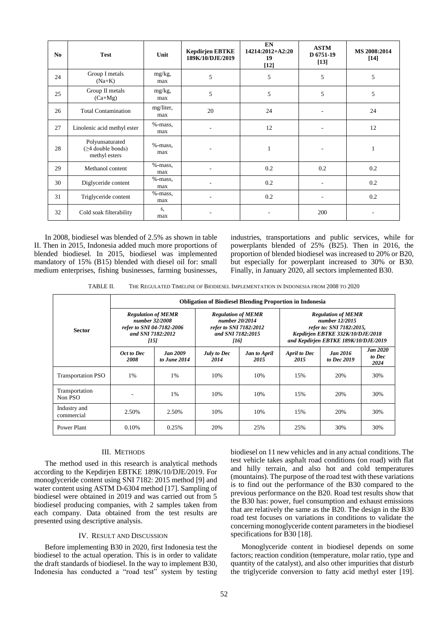| N <sub>0</sub> | <b>Test</b>                                           | Unit              | <b>Kepdirjen EBTKE</b><br>189K/10/DJE/2019 | <b>EN</b><br>14214:2012+A2:20<br>19<br>$[12]$ | <b>ASTM</b><br>D 6751-19<br>$[13]$ | MS 2008:2014<br>$[14]$ |
|----------------|-------------------------------------------------------|-------------------|--------------------------------------------|-----------------------------------------------|------------------------------------|------------------------|
| 24             | Group I metals<br>$(Na+K)$                            | mg/kg,<br>max     | 5                                          | 5                                             | 5                                  | 5                      |
| 25             | Group II metals<br>$(Ca+Mg)$                          | mg/kg,<br>max     | 5                                          | 5                                             | 5                                  | 5                      |
| 26             | <b>Total Contamination</b>                            | mg/liter,<br>max  | 20                                         | 24                                            | $\overline{a}$                     | 24                     |
| 27             | Linolenic acid methyl ester                           | $%$ -mass,<br>max | $\overline{\phantom{a}}$                   | 12                                            | ٠                                  | 12                     |
| 28             | Polyunsaturated<br>(≥4 double bonds)<br>methyl esters | $%$ -mass,<br>max |                                            | 1                                             |                                    | 1                      |
| 29             | Methanol content                                      | $%$ -mass,<br>max | $\overline{\phantom{a}}$                   | 0.2                                           | 0.2                                | 0.2                    |
| 30             | Diglyceride content                                   | %-mass,<br>max    | $\overline{\phantom{a}}$                   | 0.2                                           | ٠                                  | 0.2                    |
| 31             | Triglyceride content                                  | $%$ -mass,<br>max |                                            | 0.2                                           |                                    | 0.2                    |
| 32             | Cold soak filterability                               | S,<br>max         | ٠                                          |                                               | 200                                | ٠                      |

In 2008, biodiesel was blended of 2.5% as shown in table II. Then in 2015, Indonesia added much more proportions of blended biodiesel. In 2015, biodiesel was implemented mandatory of 15% (B15) blended with diesel oil for: small medium enterprises, fishing businesses, farming businesses,

industries, transportations and public services, while for powerplants blended of 25% (B25). Then in 2016, the proportion of blended biodiesel was increased to 20% or B20, but especially for powerplant increased to 30% or B30. Finally, in January 2020, all sectors implemented B30.

TABLE II. THE REGULATED TIMELINE OF BIODIESEL IMPLEMENTATION IN INDONESIA FROM 2008 TO 2020

|                            | <b>Obligation of Biodiesel Blending Proportion in Indonesia</b>                                       |                                 |                                                                                                    |                             |                                                                                                                                                     |                                |                                   |  |  |  |
|----------------------------|-------------------------------------------------------------------------------------------------------|---------------------------------|----------------------------------------------------------------------------------------------------|-----------------------------|-----------------------------------------------------------------------------------------------------------------------------------------------------|--------------------------------|-----------------------------------|--|--|--|
| <b>Sector</b>              | <b>Regulation of MEMR</b><br>number 32/2008<br>refer to SNI 04-7182-2006<br>and SNI 7182:2012<br>[15] |                                 | <b>Regulation of MEMR</b><br>number 20/2014<br>refer to SNI 7182:2012<br>and SNI 7182:2015<br>[16] |                             | <b>Regulation of MEMR</b><br>number 12/2015<br>refer to: SNI 7182:2015,<br>Kepdirjen EBTKE 332K/10/DJE/2018<br>and Kepdirjen EBTKE 189K/10/DJE/2019 |                                |                                   |  |  |  |
|                            | Oct to Dec<br>2008                                                                                    | <b>Jan 2009</b><br>to June 2014 | July to Dec<br>2014                                                                                | <b>Jan to April</b><br>2015 | <b>April to Dec</b><br>2015                                                                                                                         | <b>Jan 2016</b><br>to Dec 2019 | <b>Jan 2020</b><br>to Dec<br>2024 |  |  |  |
| <b>Transportation PSO</b>  | 1%                                                                                                    | 1%                              | 10%                                                                                                | 10%                         | 15%                                                                                                                                                 | 20%                            | 30%                               |  |  |  |
| Transportation<br>Non PSO  |                                                                                                       | 1%                              | 10%                                                                                                | 10%                         | 15%                                                                                                                                                 | 20%                            | 30%                               |  |  |  |
| Industry and<br>commercial | 2.50%                                                                                                 | 2.50%                           | 10%                                                                                                | 10%                         | 15%                                                                                                                                                 | 20%                            | 30%                               |  |  |  |
| Power Plant                | 0.10%                                                                                                 | 0.25%                           | 20%                                                                                                | 25%                         | 25%                                                                                                                                                 | 30%                            | 30%                               |  |  |  |

#### III. METHODS

The method used in this research is analytical methods according to the Kepdirjen EBTKE 189K/10/DJE/2019. For monoglyceride content using SNI 7182: 2015 method [9] and water content using ASTM D-6304 method [17]. Sampling of biodiesel were obtained in 2019 and was carried out from 5 biodiesel producing companies, with 2 samples taken from each company. Data obtained from the test results are presented using descriptive analysis.

#### IV. RESULT AND DISCUSSION

Before implementing B30 in 2020, first Indonesia test the biodiesel to the actual operation. This is in order to validate the draft standards of biodiesel. In the way to implement B30, Indonesia has conducted a "road test" system by testing

biodiesel on 11 new vehicles and in any actual conditions. The test vehicle takes asphalt road conditions (on road) with flat and hilly terrain, and also hot and cold temperatures (mountains). The purpose of the road test with these variations is to find out the performance of the B30 compared to the previous performance on the B20. Road test results show that the B30 has: power, fuel consumption and exhaust emissions that are relatively the same as the B20. The design in the B30 road test focuses on variations in conditions to validate the concerning monoglyceride content parameters in the biodiesel specifications for B30 [18].

Monoglyceride content in biodiesel depends on some factors; reaction condition (temperature, molar ratio, type and quantity of the catalyst), and also other impurities that disturb the triglyceride conversion to fatty acid methyl ester [19].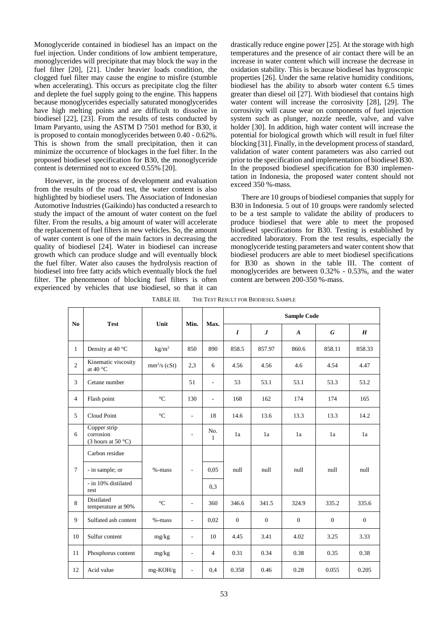Monoglyceride contained in biodiesel has an impact on the fuel injection. Under conditions of low ambient temperature, monoglycerides will precipitate that may block the way in the fuel filter [20], [21]. Under heavier loads condition, the clogged fuel filter may cause the engine to misfire (stumble when accelerating). This occurs as precipitate clog the filter and deplete the fuel supply going to the engine. This happens because monoglycerides especially saturated monoglycerides have high melting points and are difficult to dissolve in biodiesel [22], [23]. From the results of tests conducted by Imam Paryanto, using the ASTM D 7501 method for B30, it is proposed to contain monoglycerides between 0.40 - 0.62%. This is shown from the small precipitation, then it can minimize the occurrence of blockages in the fuel filter. In the proposed biodiesel specification for B30, the monoglyceride content is determined not to exceed 0.55% [20].

However, in the process of development and evaluation from the results of the road test, the water content is also highlighted by biodiesel users. The Association of Indonesian Automotive Industries (Gaikindo) has conducted a research to study the impact of the amount of water content on the fuel filter. From the results, a big amount of water will accelerate the replacement of fuel filters in new vehicles. So, the amount of water content is one of the main factors in decreasing the quality of biodiesel [24]. Water in biodiesel can increase growth which can produce sludge and will eventually block the fuel filter. Water also causes the hydrolysis reaction of biodiesel into free fatty acids which eventually block the fuel filter. The phenomenon of blocking fuel filters is often experienced by vehicles that use biodiesel, so that it can

drastically reduce engine power [25]. At the storage with high temperatures and the presence of air contact there will be an increase in water content which will increase the decrease in oxidation stability. This is because biodiesel has hygroscopic properties [26]. Under the same relative humidity conditions, biodiesel has the ability to absorb water content 6.5 times greater than diesel oil [27]. With biodiesel that contains high water content will increase the corrosivity [28], [29]. The corrosivity will cause wear on components of fuel injection system such as plunger, nozzle needle, valve, and valve holder [30]. In addition, high water content will increase the potential for biological growth which will result in fuel filter blocking [31]. Finally, in the development process of standard, validation of water content parameters was also carried out prior to the specification and implementation of biodiesel B30. In the proposed biodiesel specification for B30 implementation in Indonesia, the proposed water content should not exceed 350 %-mass.

There are 10 groups of biodiesel companies that supply for B30 in Indonesia. 5 out of 10 groups were randomly selected to be a test sample to validate the ability of producers to produce biodiesel that were able to meet the proposed biodiesel specifications for B30. Testing is established by accredited laboratory. From the test results, especially the monoglyceride testing parameters and water content show that biodiesel producers are able to meet biodiesel specifications for B30 as shown in the table III. The content of monoglycerides are between 0.32% - 0.53%, and the water content are between 200-350 %-mass.

TABLE III. THE TEST RESULT FOR BIODIESEL SAMPLE

| N <sub>0</sub> | <b>Test</b>                                        | Unit            | Min.                     | Max.                | <b>Sample Code</b> |          |                  |          |          |  |
|----------------|----------------------------------------------------|-----------------|--------------------------|---------------------|--------------------|----------|------------------|----------|----------|--|
|                |                                                    |                 |                          |                     | $\boldsymbol{I}$   | J        | $\boldsymbol{A}$ | G        | H        |  |
| $\mathbf{1}$   | Density at 40 °C                                   | $\text{kg/m}^3$ | 850                      | 890                 | 858.5              | 857.97   | 860.6            | 858.11   | 858.33   |  |
| $\overline{2}$ | Kinematic viscosity<br>at 40 °C                    | $mm2/s$ (cSt)   | 2,3                      | 6                   | 4.56               | 4.56     | 4.6              | 4.54     | 4.47     |  |
| 3              | Cetane number                                      |                 | 51                       | $\overline{a}$      | 53                 | 53.1     | 53.1             | 53.3     | 53.2     |  |
| $\overline{4}$ | Flash point                                        | $^{\circ}C$     | 130                      | $\overline{a}$      | 168                | 162      | 174              | 174      | 165      |  |
| 5              | Cloud Point                                        | $\rm ^{\circ}C$ | ä,                       | 18                  | 14.6               | 13.6     | 13.3             | 13.3     | 14.2     |  |
| 6              | Copper strip<br>corrosion<br>(3 hours at 50 $°C$ ) |                 |                          | No.<br>$\mathbf{1}$ | 1a                 | 1a       | 1a               | 1a       | 1a       |  |
|                | Carbon residue                                     |                 |                          |                     |                    |          |                  |          |          |  |
| $\tau$         | - in sample; or                                    | $% -mass$       | $\overline{a}$           | 0.05                | null               | null     | null             | null     | null     |  |
|                | - in 10% distilated<br>rest                        |                 |                          | 0,3                 |                    |          |                  |          |          |  |
| 8              | Distilated<br>temperature at 90%                   | $^{\circ}C$     | ÷,                       | 360                 | 346.6              | 341.5    | 324.9            | 335.2    | 335.6    |  |
| 9              | Sulfated ash content                               | %-mass          | ä,                       | 0.02                | $\mathbf{0}$       | $\Omega$ | $\Omega$         | $\Omega$ | $\Omega$ |  |
| 10             | Sulfur content                                     | mg/kg           | $\overline{\phantom{0}}$ | 10                  | 4.45               | 3.41     | 4.02             | 3.25     | 3.33     |  |
| 11             | Phosphorus content                                 | mg/kg           | ÷,                       | $\overline{4}$      | 0.31               | 0.34     | 0.38             | 0.35     | 0.38     |  |
| 12             | Acid value                                         | $mg-KOH/g$      | $\overline{\phantom{a}}$ | 0,4                 | 0.358              | 0.46     | 0.28             | 0.055    | 0.205    |  |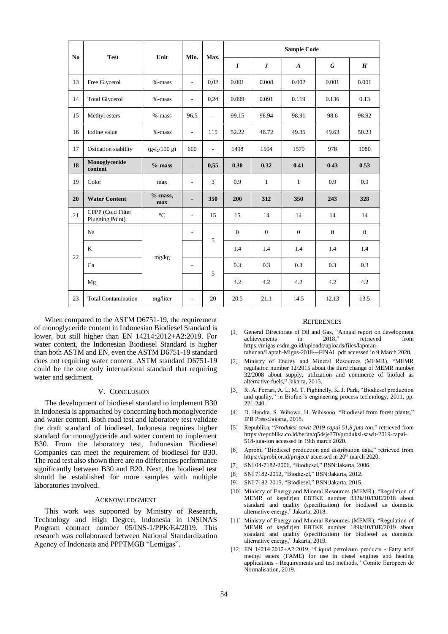| N <sub>0</sub> | <b>Test</b>                          | Unit              | Min.                     | Max.                     | <b>Sample Code</b> |              |                  |          |                |
|----------------|--------------------------------------|-------------------|--------------------------|--------------------------|--------------------|--------------|------------------|----------|----------------|
|                |                                      |                   |                          |                          | $\boldsymbol{I}$   | $\bm{J}$     | $\boldsymbol{A}$ | G        | H              |
| 13             | Free Glycerol                        | $% -mass$         | $\sim$                   | 0.02                     | 0.001              | 0.008        | 0.002            | 0.001    | 0.001          |
| 14             | <b>Total Glycerol</b>                | $% -mass$         | $\overline{\phantom{a}}$ | 0,24                     | 0.099              | 0.091        | 0.119            | 0.136    | 0.13           |
| 15             | Methyl esters                        | $% -mass$         | 96,5                     | $\sim$                   | 99.15              | 98.94        | 98.91            | 98.6     | 98.92          |
| 16             | Iodine value                         | %-mass            | $\sim$                   | 115                      | 52.22              | 46.72        | 49.35            | 49.63    | 50.23          |
| 17             | Oxidation stability                  | $(g-I_2/100 g)$   | 600                      | $\overline{\phantom{a}}$ | 1498               | 1504         | 1579             | 978      | 1080           |
| 18             | Monoglyceride<br>content             | $%$ -mass         | $\blacksquare$           | 0,55                     | 0.38               | 0.32         | 0.41             | 0.43     | 0.53           |
| 19             | Color                                | max               | $\sim$                   | $\overline{3}$           | 0.9                | $\mathbf{1}$ | $\mathbf{1}$     | 0.9      | 0.9            |
| 20             | <b>Water Content</b>                 | $%$ -mass,<br>max | $\blacksquare$           | 350                      | 200                | 312          | 350              | 243      | 328            |
| 21             | CFPP (Cold Filter<br>Plugging Point) | $\rm ^{\circ}C$   | $\sim$                   | 15                       | 15                 | 14           | 14               | 14       | 14             |
|                | Na                                   | mg/kg             | $\overline{\phantom{a}}$ | 5                        | $\mathbf{0}$       | $\Omega$     | $\mathbf{0}$     | $\Omega$ | $\overline{0}$ |
| 22             | K                                    |                   |                          |                          | 1.4                | 1.4          | 1.4              | 1.4      | 1.4            |
|                | Ca                                   |                   | $\sim$                   | 5                        | 0.3                | 0.3          | 0.3              | 0.3      | 0.3            |
|                | Mg                                   |                   |                          |                          | 4.2                | 4.2          | 4.2              | 4.2      | 4.2            |
| 23             | <b>Total Contamination</b>           | mg/liter          | $\overline{\phantom{a}}$ | 20                       | 20.5               | 21.1         | 14.5             | 12.13    | 13.5           |

When compared to the ASTM D6751-19, the requirement of monoglyceride content in Indonesian Biodiesel Standard is lower, but still higher than EN 14214:2012+A2:2019. For water content, the Indonesian Biodiesel Standard is higher than both ASTM and EN, even the ASTM D6751-19 standard does not requiring water content. ASTM standard D6751-19 could be the one only international standard that requiring water and sediment.

## V. CONCLUSION

The development of biodiesel standard to implement B30 in Indonesia is approached by concerning both monoglyceride and water content. Both road test and laboratory test validate the draft standard of biodiesel. Indonesia requires higher standard for monoglyceride and water content to implement B30. From the laboratory test, Indonesian Biodiesel Companies can meet the requirement of biodiesel for B30. The road test also shown there are no differences performance significantly between B30 and B20. Next, the biodiesel test should be established for more samples with multiple laboratories involved.

### ACKNOWLEDGMENT

This work was supported by Ministry of Research, Technology and High Degree, Indonesia in INSINAS Program contract number 05/INS-1/PPK/E4/2019. This research was collaborated between National Standardization Agency of Indonesia and PPPTMGB "Lemigas".

#### **REFERENCES**

- [1] General Directorate of Oil and Gas, "Annual report on development achievements in 2018," retrieved from https://migas.esdm.go.id/uploads/uploads/files/laporantahunan/Laptah-Migas-2018---FINAL.pdf accessed in 9 March 2020.
- [2] Ministry of Energy and Mineral Resources (MEMR), "MEMR regulation number 12/2015 about the third change of MEMR number 32/2008 about supply, utilization and commerce of biofuel as alternative fuels," Jakarta, 2015.
- [3] R. A. Ferrari, A. L. M. T. Pighinelly, K. J. Park, "Biodiesel production and quality," in Biofuel's engineering process technology, 2011, pp. 221-240.
- [4] D. Hendra, S. Wibowo, H. Wibisono, "Biodiesel from forest plants," IPB Press:Jakarta, 2018.
- [5] Republika, "*Produksi sawit 2019 capai 51,8 juta ton*," retrieved from https://republika.co.id/berita/q54sje370/produksi-sawit-2019-capai-518-juta-ton accessed in 19th march 2020.
- [6] Aprobi, "Biodiesel production and distribution data," retrieved from https://aprobi.or.id/project/ accessed in 20<sup>th</sup> march 2020.
- [7] SNI 04-7182-2006, "Biodiesel," BSN:Jakarta, 2006.
- [8] SNI 7182-2012, "Biodiesel," BSN:Jakarta, 2012.
- [9] SNI 7182-2015, "Biodiesel," BSN:Jakarta, 2015.
- [10] Ministry of Energy and Mineral Resources (MEMR), "Regulation of MEMR of kepdirjen EBTKE number 332k/10/DJE/2018 about standard and quality (specification) for biodiesel as domestic alternative energy," Jakarta, 2018.
- [11] Ministry of Energy and Mineral Resources (MEMR), "Regulation of MEMR of kepdirjen EBTKE number 189k/10/DJE/2019 about standard and quality (specification) for biodiesel as domestic alternative energy," Jakarta, 2019.
- [12] EN 14214:2012+A2:2019, "Liquid petroleum products Fatty acid methyl esters (FAME) for use in diesel engines and heating applications - Requirements and test methods," Comite Europeen de Normalisation, 2019.